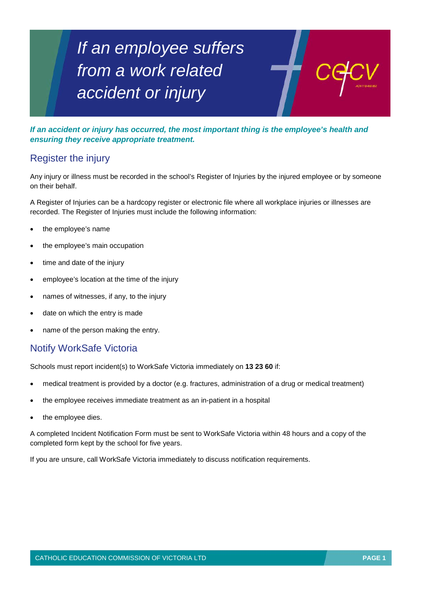# *If an employee suffers from a work related accident or injury*

*If an accident or injury has occurred, the most important thing is the employee's health and ensuring they receive appropriate treatment.*

## Register the injury

Any injury or illness must be recorded in the school's Register of Injuries by the injured employee or by someone on their behalf.

A Register of Injuries can be a hardcopy register or electronic file where all workplace injuries or illnesses are recorded. The Register of Injuries must include the following information:

- the employee's name
- the employee's main occupation
- time and date of the injury
- employee's location at the time of the injury
- names of witnesses, if any, to the injury
- date on which the entry is made
- name of the person making the entry.

### Notify WorkSafe Victoria

Schools must report incident(s) to WorkSafe Victoria immediately on **13 23 60** if:

- medical treatment is provided by a doctor (e.g. fractures, administration of a drug or medical treatment)
- the employee receives immediate treatment as an in-patient in a hospital
- the employee dies.

A completed Incident Notification Form must be sent to WorkSafe Victoria within 48 hours and a copy of the completed form kept by the school for five years.

If you are unsure, call WorkSafe Victoria immediately to discuss notification requirements.